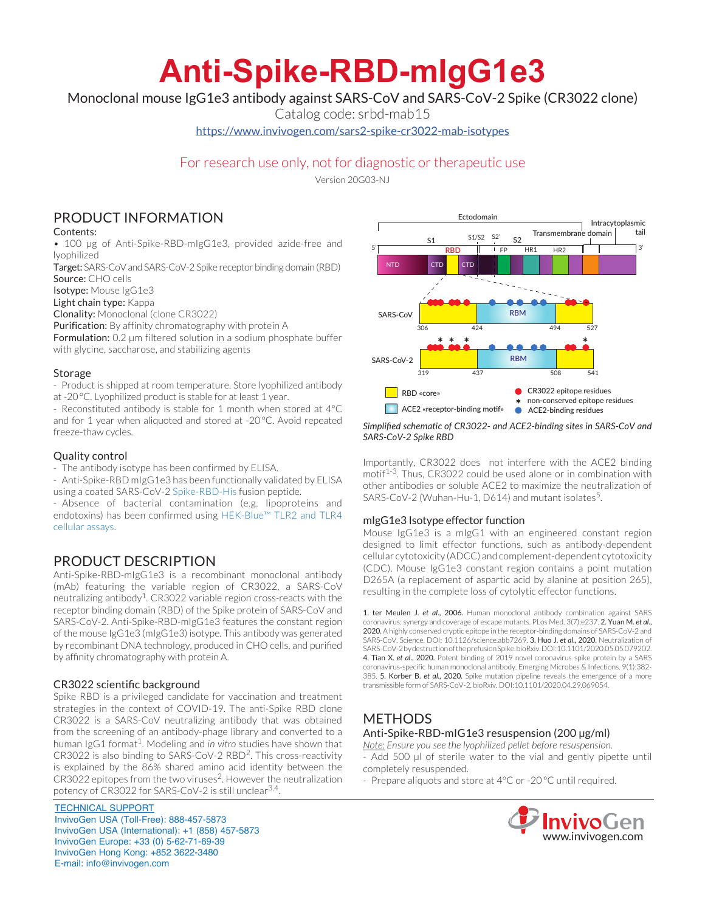# **Anti-Spike-RBD-mIgG1e3**

Monoclonal mouse IgG1e3 antibody against SARS-CoV and SARS-CoV-2 Spike (CR3022 clone)

Catalog code: srbd-mab15

https://www.invivogen.com/sars2-spike-cr3022-mab-isotypes

# For research use only, not for diagnostic or therapeutic use

Version 20G03-NJ

# PRODUCT INFORMATION

## Contents:

• 100 ug of Anti-Spike-RBD-mlgG1e3, provided azide-free and lyophilized

Target: SARS-CoV and SARS-CoV-2 Spike receptor binding domain (RBD) Source: CHO cells

Isotype: Mouse IgG1e3

Light chain type: Kappa

Clonality: Monoclonal (clone CR3022)

Purification: By affinity chromatography with protein A

Formulation: 0.2 µm filtered solution in a sodium phosphate buffer with glycine, saccharose, and stabilizing agents

## Storage

- Product is shipped at room temperature. Store lyophilized antibody at -20°C. Lyophilized product is stable for at least 1 year.

- Reconstituted antibody is stable for 1 month when stored at 4°C and for 1 year when aliquoted and stored at -20°C. Avoid repeated freeze-thaw cycles.

## Quality control

- The antibody isotype has been confirmed by ELISA.

- Anti-Spike-RBD mIgG1e3 has been functionally validated by ELISA

using a coated SARS-CoV-2 Spike-RBD-His fusion peptide.

- Absence of bacterial contamination (e.g. lipoproteins and endotoxins) has been confirmed using HEK-Blue™ TLR2 and TLR4 cellular assays.

# PRODUCT DESCRIPTION

Anti-Spike-RBD-mIgG1e3 is a recombinant monoclonal antibody (mAb) featuring the variable region of CR3022, a SARS-CoV neutralizing antibody<sup>1</sup>. CR3022 variable region cross-reacts with the receptor binding domain (RBD) of the Spike protein of SARS-CoV and SARS-CoV-2. Anti-Spike-RBD-mIgG1e3 features the constant region of the mouse IgG1e3 (mIgG1e3) isotype. This antibody was generated by recombinant DNA technology, produced in CHO cells, and purified by affinity chromatography with protein A.

## CR3022 scientific background

Spike RBD is a privileged candidate for vaccination and treatment strategies in the context of COVID-19. The anti-Spike RBD clone CR3022 is a SARS-CoV neutralizing antibody that was obtained from the screening of an antibody-phage library and converted to a human IgG1 format<sup>1</sup>. Modeling and *in vitro* studies have shown that CR3022 is also binding to SARS-CoV-2 RBD2. This cross-reactivity is explained by the 86% shared amino acid identity between the CR3022 epitopes from the two viruses<sup>2</sup>. However the neutralization potency of CR3022 for SARS-CoV-2 is still unclear<sup>3,4</sup>.

TECHNICAL SUPPORT InvivoGen USA (Toll‑Free): 888-457-5873 InvivoGen USA (International): +1 (858) 457-5873 InvivoGen Europe: +33 (0) 5-62-71-69-39 InvivoGen Hong Kong: +852 3622-3480 E-mail: info@invivogen.com



#### *Simplified schematic of CR3022- and ACE2-binding sites in SARS-CoV and SARS-CoV-2 Spike RBD*

Importantly, CR3022 does not interfere with the ACE2 binding motif<sup>1-3</sup>. Thus, CR3022 could be used alone or in combination with other antibodies or soluble ACE2 to maximize the neutralization of SARS-CoV-2 (Wuhan-Hu-1, D614) and mutant isolates<sup>5</sup>.

## mIgG1e3 Isotype effector function

Mouse IgG1e3 is a mIgG1 with an engineered constant region designed to limit effector functions, such as antibody-dependent cellular cytotoxicity (ADCC) and complement-dependent cytotoxicity (CDC). Mouse IgG1e3 constant region contains a point mutation D265A (a replacement of aspartic acid by alanine at position 265), resulting in the complete loss of cytolytic effector functions.

1. ter Meulen J. *et al*., 2006. Human monoclonal antibody combination against SARS coronavirus: synergy and coverage of escape mutants. PLos Med. 3(7):e237. 2. Yuan M. *et al*., 2020. A highly conserved cryptic epitope in the receptor-binding domains of SARS-CoV-2 and SARS-CoV. Science. DOI: 10.1126/science.abb7269. 3. Huo J. *et al*., 2020. Neutralization of SARS-CoV-2 by destruction of the prefusion Spike. bioRxiv. DOI:10.1101/2020.05.05.079202. 4. Tian X. *et al*., 2020. Potent binding of 2019 novel coronavirus spike protein by a SARS coronavirus-specific human monoclonal antibody. Emerging Microbes & Infections. 9(1):382- 385. 5. Korber B. *et al*., 2020. Spike mutation pipeline reveals the emergence of a more transmissible form of SARS-CoV-2. bioRxiv. DOI:10.1101/2020.04.29.069054.

# METHODS Anti-Spike-RBD-mIG1e3 resuspension (200 µg/ml)

*Note: Ensure you see the lyophilized pellet before resuspension.* - Add 500 µl of sterile water to the vial and gently pipette until completely resuspended.

- Prepare aliquots and store at 4°C or -20 °C until required.